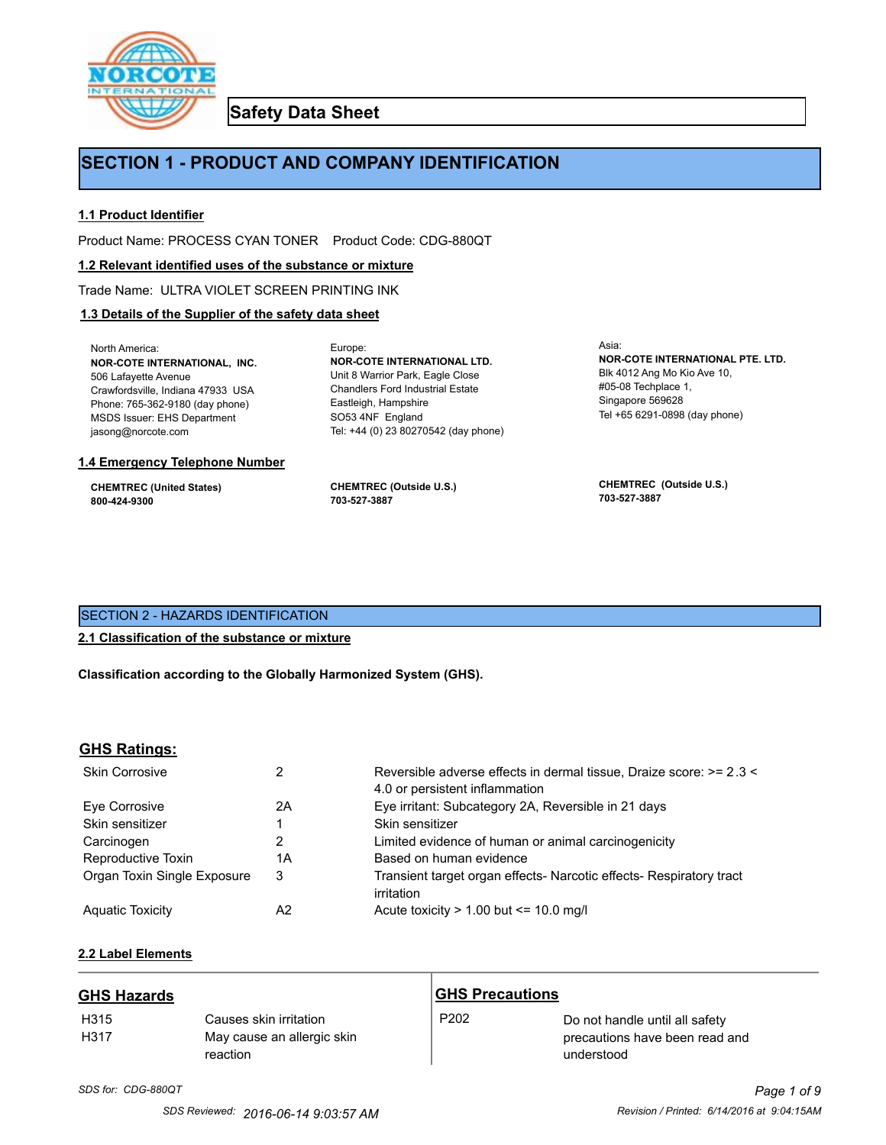

**Safety Data Sheet**

# **SECTION 1 - PRODUCT AND COMPANY IDENTIFICATION**

Europe:

# **1.1 Product Identifier**

Product Name: PROCESS CYAN TONER Product Code: CDG-880QT

# **1.2 Relevant identified uses of the substance or mixture**

Trade Name: ULTRA VIOLET SCREEN PRINTING INK

# **1.3 Details of the Supplier of the safety data sheet**

North America: **NOR-COTE INTERNATIONAL, INC.** 506 Lafayette Avenue Crawfordsville, Indiana 47933 USA Phone: 765-362-9180 (day phone) MSDS Issuer: EHS Department jasong@norcote.com

#### **1.4 Emergency Telephone Number**

**CHEMTREC (United States) 800-424-9300**

**CHEMTREC (Outside U.S.) 703-527-3887**

Eastleigh, Hampshire SO53 4NF England

**NOR-COTE INTERNATIONAL LTD.** Unit 8 Warrior Park, Eagle Close Chandlers Ford Industrial Estate

Tel: +44 (0) 23 80270542 (day phone)

Asia: **NOR-COTE INTERNATIONAL PTE. LTD.** Blk 4012 Ang Mo Kio Ave 10, #05-08 Techplace 1, Singapore 569628 Tel +65 6291-0898 (day phone)

**CHEMTREC (Outside U.S.) 703-527-3887**

# SECTION 2 - HAZARDS IDENTIFICATION

# **2.1 Classification of the substance or mixture**

**Classification according to the Globally Harmonized System (GHS).**

# **GHS Ratings:**

| <b>Skin Corrosive</b>       | 2  | Reversible adverse effects in dermal tissue, Draize score: >= 2.3 <<br>4.0 or persistent inflammation |
|-----------------------------|----|-------------------------------------------------------------------------------------------------------|
| Eve Corrosive               | 2A | Eye irritant: Subcategory 2A, Reversible in 21 days                                                   |
| Skin sensitizer             |    | Skin sensitizer                                                                                       |
| Carcinogen                  |    | Limited evidence of human or animal carcinogenicity                                                   |
| Reproductive Toxin          | 1A | Based on human evidence                                                                               |
| Organ Toxin Single Exposure | 3  | Transient target organ effects- Narcotic effects- Respiratory tract<br>irritation                     |
| <b>Aguatic Toxicity</b>     | A2 | Acute toxicity $> 1.00$ but $\leq 10.0$ mg/l                                                          |

# **2.2 Label Elements**

| <b>GHS Hazards</b> |                                                                  | <b>GHS Precautions</b> |                                                                                |
|--------------------|------------------------------------------------------------------|------------------------|--------------------------------------------------------------------------------|
| H315<br>H317       | Causes skin irritation<br>May cause an allergic skin<br>reaction | P <sub>202</sub>       | Do not handle until all safety<br>precautions have been read and<br>understood |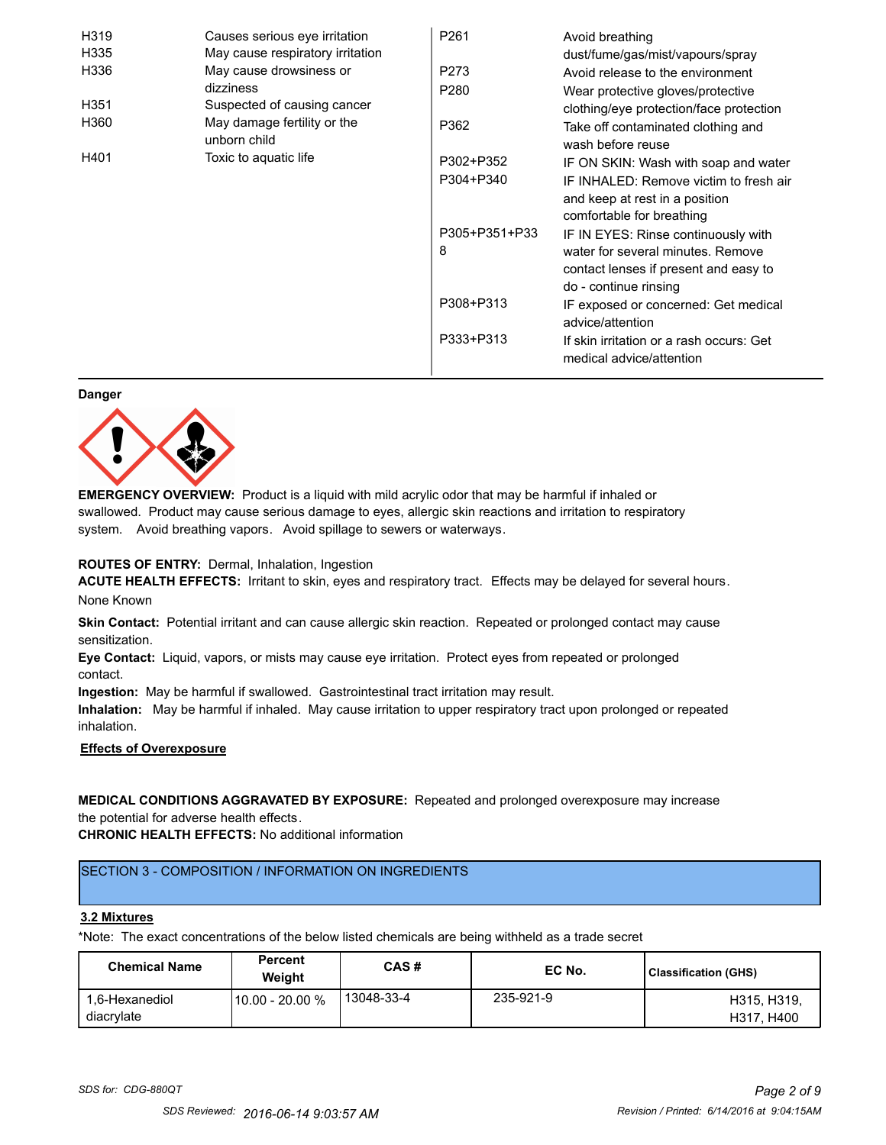| H319 | Causes serious eye irritation               | P <sub>261</sub> | Avoid breathing                                                      |
|------|---------------------------------------------|------------------|----------------------------------------------------------------------|
| H335 | May cause respiratory irritation            |                  | dust/fume/gas/mist/vapours/spray                                     |
| H336 | May cause drowsiness or                     | P273             | Avoid release to the environment                                     |
|      | dizziness                                   | P <sub>280</sub> | Wear protective gloves/protective                                    |
| H351 | Suspected of causing cancer                 |                  | clothing/eye protection/face protection                              |
| H360 | May damage fertility or the<br>unborn child | P362             | Take off contaminated clothing and<br>wash before reuse              |
| H401 | Toxic to aquatic life                       | P302+P352        | IF ON SKIN: Wash with soap and water                                 |
|      |                                             | P304+P340        | IF INHALED: Remove victim to fresh air                               |
|      |                                             |                  | and keep at rest in a position                                       |
|      |                                             |                  | comfortable for breathing                                            |
|      |                                             | P305+P351+P33    | IF IN EYES: Rinse continuously with                                  |
|      |                                             | 8                | water for several minutes. Remove                                    |
|      |                                             |                  | contact lenses if present and easy to                                |
|      |                                             |                  | do - continue rinsing                                                |
|      |                                             | P308+P313        | IF exposed or concerned: Get medical                                 |
|      |                                             |                  | advice/attention                                                     |
|      |                                             | P333+P313        | If skin irritation or a rash occurs: Get<br>medical advice/attention |

#### **Danger**



**EMERGENCY OVERVIEW:** Product is a liquid with mild acrylic odor that may be harmful if inhaled or swallowed. Product may cause serious damage to eyes, allergic skin reactions and irritation to respiratory system. Avoid breathing vapors. Avoid spillage to sewers or waterways.

# **ROUTES OF ENTRY:** Dermal, Inhalation, Ingestion

**ACUTE HEALTH EFFECTS:** Irritant to skin, eyes and respiratory tract. Effects may be delayed for several hours. None Known

**Skin Contact:** Potential irritant and can cause allergic skin reaction. Repeated or prolonged contact may cause sensitization.

**Eye Contact:** Liquid, vapors, or mists may cause eye irritation. Protect eyes from repeated or prolonged contact.

**Ingestion:** May be harmful if swallowed. Gastrointestinal tract irritation may result.

**Inhalation:** May be harmful if inhaled. May cause irritation to upper respiratory tract upon prolonged or repeated inhalation.

# **Effects of Overexposure**

# **MEDICAL CONDITIONS AGGRAVATED BY EXPOSURE:** Repeated and prolonged overexposure may increase the potential for adverse health effects.

**CHRONIC HEALTH EFFECTS:** No additional information

# SECTION 3 - COMPOSITION / INFORMATION ON INGREDIENTS

#### **3.2 Mixtures**

\*Note: The exact concentrations of the below listed chemicals are being withheld as a trade secret

| <b>Chemical Name</b>         | <b>Percent</b><br>Weiaht | CAS#       | EC No.    | Classification (GHS)      |
|------------------------------|--------------------------|------------|-----------|---------------------------|
| 1.6-Hexanediol<br>diacrylate | 10.00 - 20.00 %          | 13048-33-4 | 235-921-9 | H315, H319.<br>H317, H400 |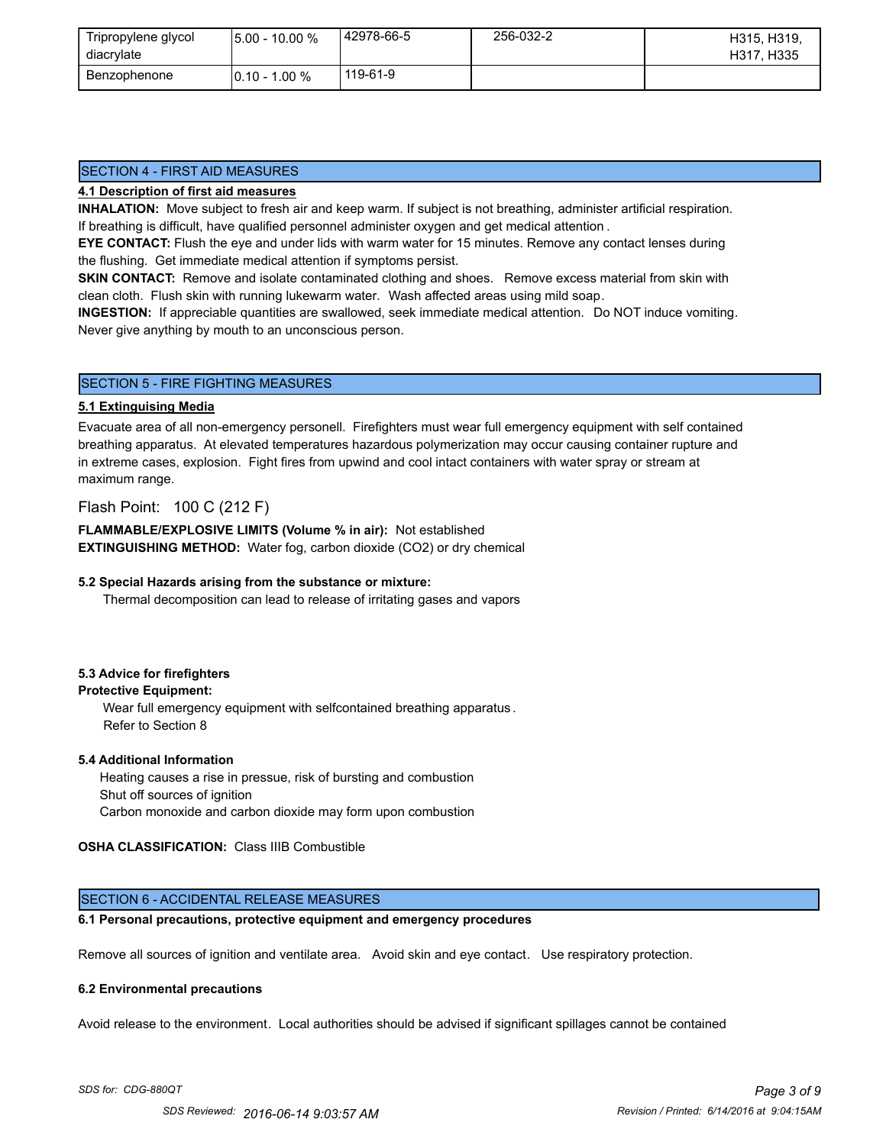| Tripropylene glycol<br>diacrylate | l5.00 - 10.00 %  | 142978-66-5 | 256-032-2 | H315, H319,<br>H317, H335 |
|-----------------------------------|------------------|-------------|-----------|---------------------------|
| Benzophenone                      | $10.10 - 1.00 %$ | 119-61-9    |           |                           |

# SECTION 4 - FIRST AID MEASURES

# **4.1 Description of first aid measures**

**INHALATION:** Move subject to fresh air and keep warm. If subject is not breathing, administer artificial respiration. If breathing is difficult, have qualified personnel administer oxygen and get medical attention .

**EYE CONTACT:** Flush the eye and under lids with warm water for 15 minutes. Remove any contact lenses during the flushing. Get immediate medical attention if symptoms persist.

**SKIN CONTACT:** Remove and isolate contaminated clothing and shoes. Remove excess material from skin with clean cloth. Flush skin with running lukewarm water. Wash affected areas using mild soap.

**INGESTION:** If appreciable quantities are swallowed, seek immediate medical attention. Do NOT induce vomiting. Never give anything by mouth to an unconscious person.

# SECTION 5 - FIRE FIGHTING MEASURES

# **5.1 Extinguising Media**

Evacuate area of all non-emergency personell. Firefighters must wear full emergency equipment with self contained breathing apparatus. At elevated temperatures hazardous polymerization may occur causing container rupture and in extreme cases, explosion. Fight fires from upwind and cool intact containers with water spray or stream at maximum range.

# Flash Point: 100 C (212 F)

**FLAMMABLE/EXPLOSIVE LIMITS (Volume % in air):** Not established **EXTINGUISHING METHOD:** Water fog, carbon dioxide (CO2) or dry chemical

# **5.2 Special Hazards arising from the substance or mixture:**

Thermal decomposition can lead to release of irritating gases and vapors

# **5.3 Advice for firefighters**

# **Protective Equipment:**

Wear full emergency equipment with selfcontained breathing apparatus . Refer to Section 8

#### **5.4 Additional Information**

 Heating causes a rise in pressue, risk of bursting and combustion Shut off sources of ignition Carbon monoxide and carbon dioxide may form upon combustion

# **OSHA CLASSIFICATION:** Class IIIB Combustible

# SECTION 6 - ACCIDENTAL RELEASE MEASURES

# **6.1 Personal precautions, protective equipment and emergency procedures**

Remove all sources of ignition and ventilate area. Avoid skin and eye contact. Use respiratory protection.

#### **6.2 Environmental precautions**

Avoid release to the environment. Local authorities should be advised if significant spillages cannot be contained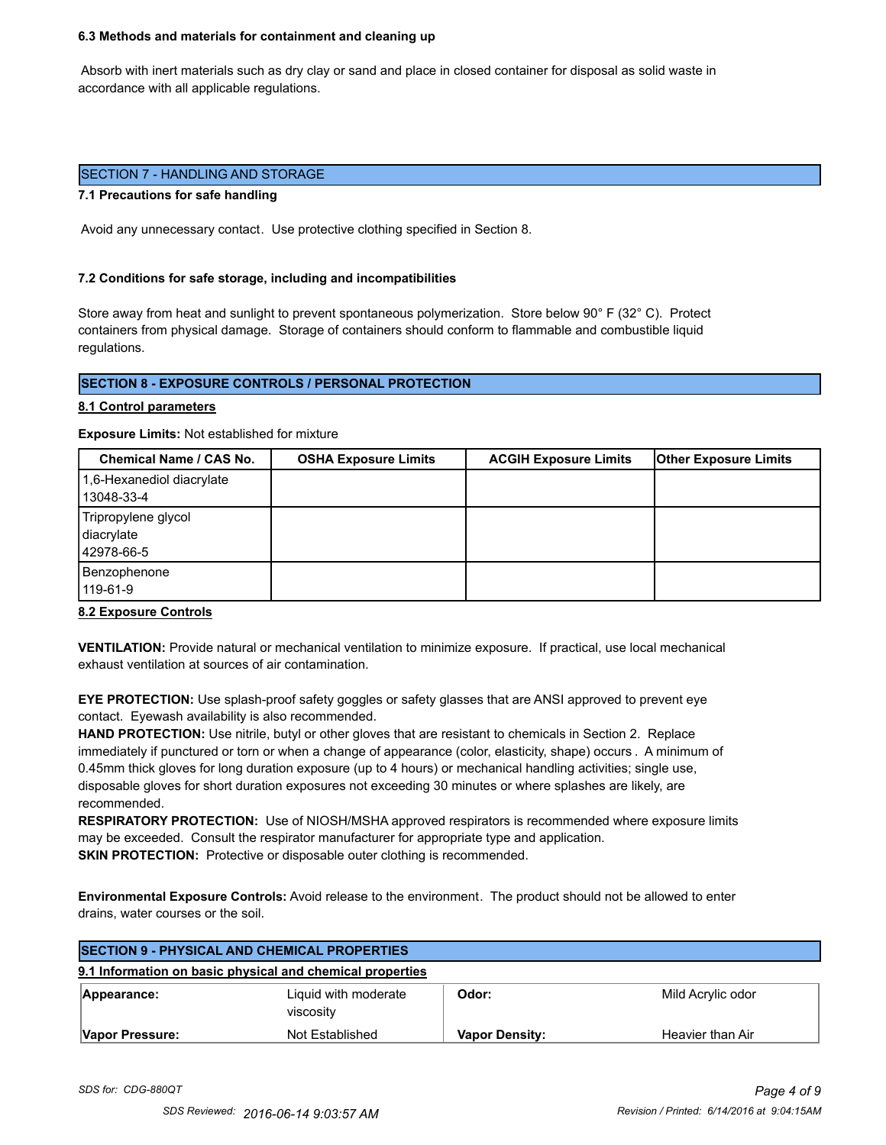#### **6.3 Methods and materials for containment and cleaning up**

 Absorb with inert materials such as dry clay or sand and place in closed container for disposal as solid waste in accordance with all applicable regulations.

### SECTION 7 - HANDLING AND STORAGE

#### **7.1 Precautions for safe handling**

Avoid any unnecessary contact. Use protective clothing specified in Section 8.

#### **7.2 Conditions for safe storage, including and incompatibilities**

Store away from heat and sunlight to prevent spontaneous polymerization. Store below 90° F (32° C). Protect containers from physical damage. Storage of containers should conform to flammable and combustible liquid regulations.

# **SECTION 8 - EXPOSURE CONTROLS / PERSONAL PROTECTION**

#### **8.1 Control parameters**

**Exposure Limits:** Not established for mixture

| Chemical Name / CAS No.                         | <b>OSHA Exposure Limits</b> | <b>ACGIH Exposure Limits</b> | <b>Other Exposure Limits</b> |
|-------------------------------------------------|-----------------------------|------------------------------|------------------------------|
| 1,6-Hexanediol diacrylate<br>13048-33-4         |                             |                              |                              |
| Tripropylene glycol<br>diacrylate<br>42978-66-5 |                             |                              |                              |
| Benzophenone<br>119-61-9                        |                             |                              |                              |

#### **8.2 Exposure Controls**

**VENTILATION:** Provide natural or mechanical ventilation to minimize exposure. If practical, use local mechanical exhaust ventilation at sources of air contamination.

**EYE PROTECTION:** Use splash-proof safety goggles or safety glasses that are ANSI approved to prevent eye contact. Eyewash availability is also recommended.

**HAND PROTECTION:** Use nitrile, butyl or other gloves that are resistant to chemicals in Section 2. Replace immediately if punctured or torn or when a change of appearance (color, elasticity, shape) occurs . A minimum of 0.45mm thick gloves for long duration exposure (up to 4 hours) or mechanical handling activities; single use, disposable gloves for short duration exposures not exceeding 30 minutes or where splashes are likely, are recommended.

**RESPIRATORY PROTECTION:** Use of NIOSH/MSHA approved respirators is recommended where exposure limits may be exceeded. Consult the respirator manufacturer for appropriate type and application. **SKIN PROTECTION:** Protective or disposable outer clothing is recommended.

**Environmental Exposure Controls:** Avoid release to the environment. The product should not be allowed to enter drains, water courses or the soil.

| <b>SECTION 9 - PHYSICAL AND CHEMICAL PROPERTIES</b> |                                                           |                       |                   |
|-----------------------------------------------------|-----------------------------------------------------------|-----------------------|-------------------|
|                                                     | 9.1 Information on basic physical and chemical properties |                       |                   |
| Appearance:                                         | Liquid with moderate<br>viscosity                         | Odor:                 | Mild Acrylic odor |
| Vapor Pressure:                                     | Not Established                                           | <b>Vapor Density:</b> | Heavier than Air  |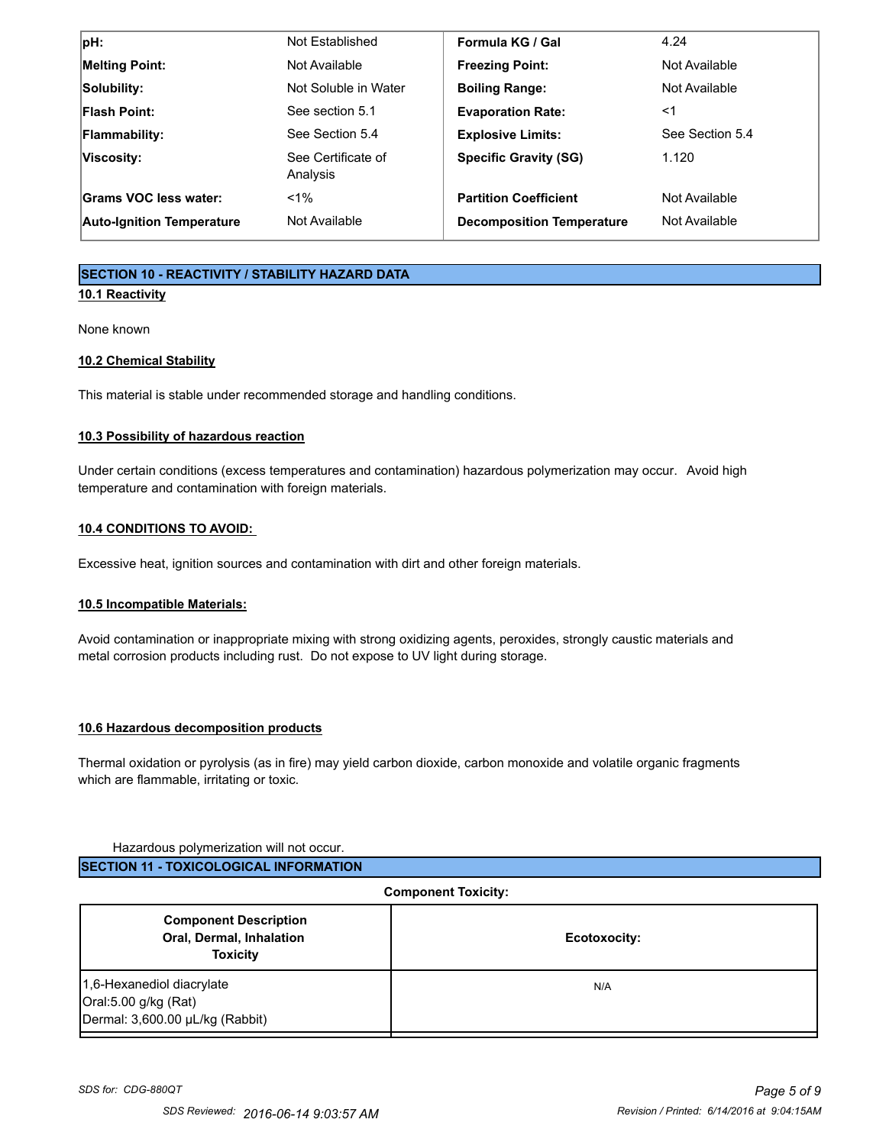| pH:                              | Not Established                | Formula KG / Gal                 | 4.24            |
|----------------------------------|--------------------------------|----------------------------------|-----------------|
| <b>Melting Point:</b>            | Not Available                  | <b>Freezing Point:</b>           | Not Available   |
| Solubility:                      | Not Soluble in Water           | <b>Boiling Range:</b>            | Not Available   |
| <b>Flash Point:</b>              | See section 5.1                | <b>Evaporation Rate:</b>         | <1              |
| Flammability:                    | See Section 5.4                | <b>Explosive Limits:</b>         | See Section 5.4 |
| Viscosity:                       | See Certificate of<br>Analysis | <b>Specific Gravity (SG)</b>     | 1.120           |
| Grams VOC less water:            | $< 1\%$                        | <b>Partition Coefficient</b>     | Not Available   |
| <b>Auto-Ignition Temperature</b> | Not Available                  | <b>Decomposition Temperature</b> | Not Available   |

# **SECTION 10 - REACTIVITY / STABILITY HAZARD DATA**

# **10.1 Reactivity**

None known

# **10.2 Chemical Stability**

This material is stable under recommended storage and handling conditions.

# **10.3 Possibility of hazardous reaction**

Under certain conditions (excess temperatures and contamination) hazardous polymerization may occur. Avoid high temperature and contamination with foreign materials.

# **10.4 CONDITIONS TO AVOID:**

Excessive heat, ignition sources and contamination with dirt and other foreign materials.

# **10.5 Incompatible Materials:**

Avoid contamination or inappropriate mixing with strong oxidizing agents, peroxides, strongly caustic materials and metal corrosion products including rust. Do not expose to UV light during storage.

# **10.6 Hazardous decomposition products**

Thermal oxidation or pyrolysis (as in fire) may yield carbon dioxide, carbon monoxide and volatile organic fragments which are flammable, irritating or toxic.

# Hazardous polymerization will not occur.

| <b>Component Toxicity:</b>                                                           |              |  |
|--------------------------------------------------------------------------------------|--------------|--|
| <b>Component Description</b><br>Oral, Dermal, Inhalation<br><b>Toxicity</b>          | Ecotoxocity: |  |
| 1,6-Hexanediol diacrylate<br>Oral:5.00 g/kg (Rat)<br>Dermal: 3,600.00 µL/kg (Rabbit) | N/A          |  |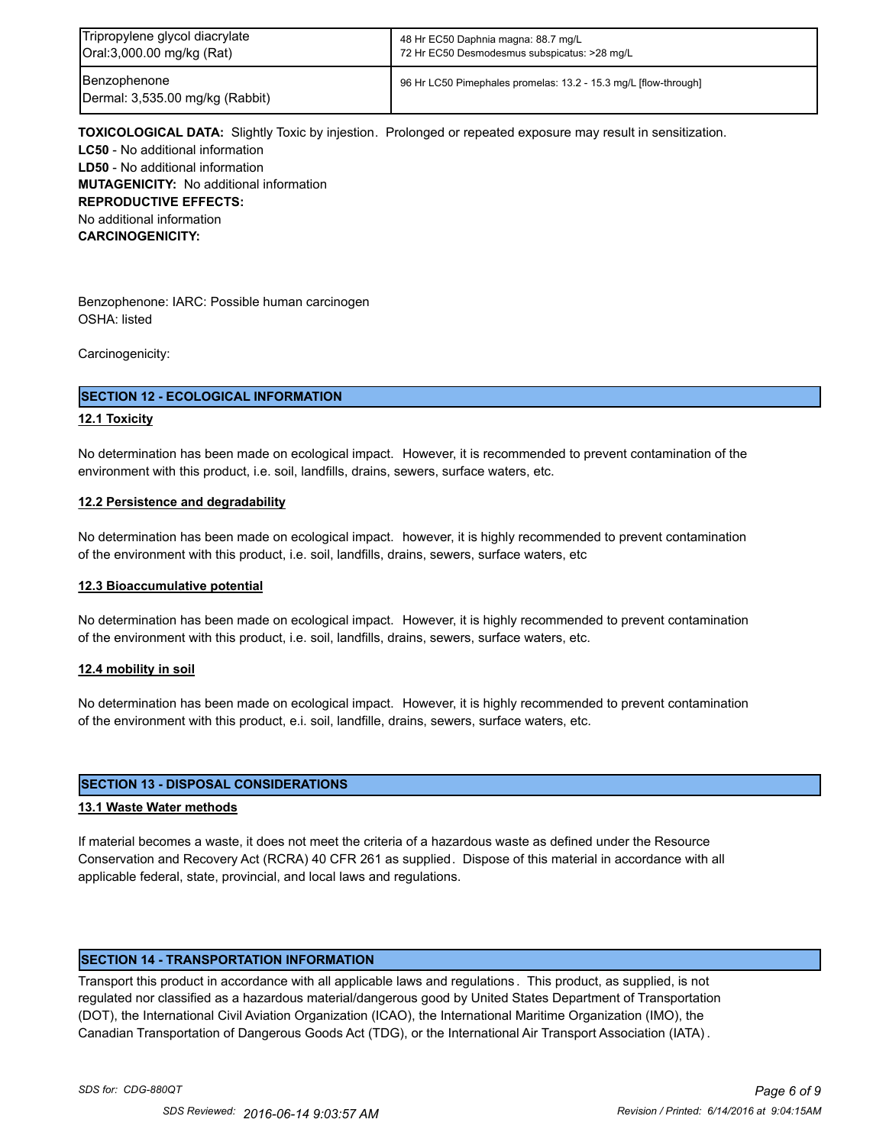| Tripropylene glycol diacrylate                  | 48 Hr EC50 Daphnia magna: 88.7 mg/L                             |
|-------------------------------------------------|-----------------------------------------------------------------|
| Oral:3,000.00 mg/kg (Rat)                       | 72 Hr EC50 Desmodesmus subspicatus: >28 mg/L                    |
| Benzophenone<br>Dermal: 3,535.00 mg/kg (Rabbit) | 96 Hr LC50 Pimephales promelas: 13.2 - 15.3 mg/L [flow-through] |

**TOXICOLOGICAL DATA:** Slightly Toxic by injestion. Prolonged or repeated exposure may result in sensitization. **LC50** - No additional information **LD50** - No additional information **MUTAGENICITY:** No additional information **REPRODUCTIVE EFFECTS:** No additional information **CARCINOGENICITY:**

Benzophenone: IARC: Possible human carcinogen OSHA: listed

Carcinogenicity:

# **SECTION 12 - ECOLOGICAL INFORMATION**

# **12.1 Toxicity**

No determination has been made on ecological impact. However, it is recommended to prevent contamination of the environment with this product, i.e. soil, landfills, drains, sewers, surface waters, etc.

# **12.2 Persistence and degradability**

No determination has been made on ecological impact. however, it is highly recommended to prevent contamination of the environment with this product, i.e. soil, landfills, drains, sewers, surface waters, etc

#### **12.3 Bioaccumulative potential**

No determination has been made on ecological impact. However, it is highly recommended to prevent contamination of the environment with this product, i.e. soil, landfills, drains, sewers, surface waters, etc.

#### **12.4 mobility in soil**

No determination has been made on ecological impact. However, it is highly recommended to prevent contamination of the environment with this product, e.i. soil, landfille, drains, sewers, surface waters, etc.

# **SECTION 13 - DISPOSAL CONSIDERATIONS**

#### **13.1 Waste Water methods**

If material becomes a waste, it does not meet the criteria of a hazardous waste as defined under the Resource Conservation and Recovery Act (RCRA) 40 CFR 261 as supplied. Dispose of this material in accordance with all applicable federal, state, provincial, and local laws and regulations.

# **SECTION 14 - TRANSPORTATION INFORMATION**

Transport this product in accordance with all applicable laws and regulations . This product, as supplied, is not regulated nor classified as a hazardous material/dangerous good by United States Department of Transportation (DOT), the International Civil Aviation Organization (ICAO), the International Maritime Organization (IMO), the Canadian Transportation of Dangerous Goods Act (TDG), or the International Air Transport Association (IATA) .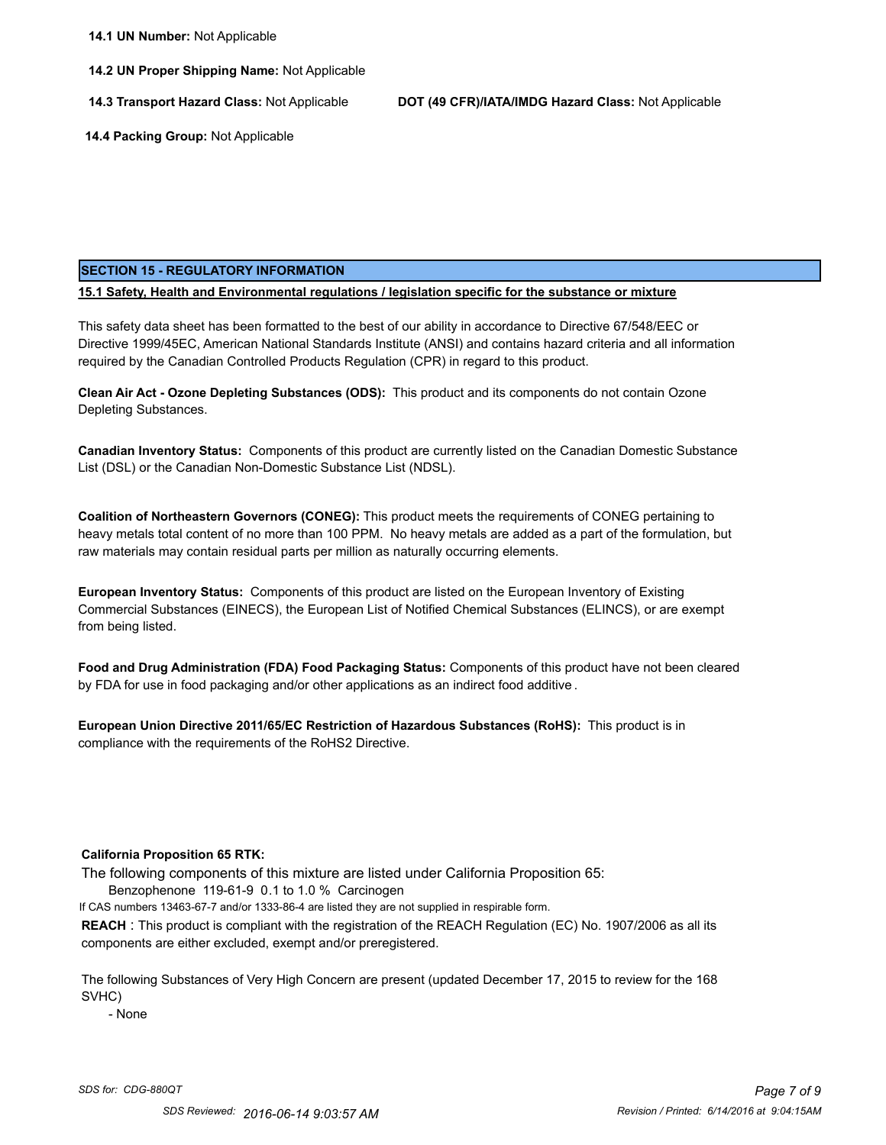**14.2 UN Proper Shipping Name:** Not Applicable

**14.3 Transport Hazard Class:** Not Applicable **DOT (49 CFR)/IATA/IMDG Hazard Class:** Not Applicable

 **14.4 Packing Group:** Not Applicable

# **SECTION 15 - REGULATORY INFORMATION**

**15.1 Safety, Health and Environmental regulations / legislation specific for the substance or mixture**

This safety data sheet has been formatted to the best of our ability in accordance to Directive 67/548/EEC or Directive 1999/45EC, American National Standards Institute (ANSI) and contains hazard criteria and all information required by the Canadian Controlled Products Regulation (CPR) in regard to this product.

**Clean Air Act - Ozone Depleting Substances (ODS):** This product and its components do not contain Ozone Depleting Substances.

**Canadian Inventory Status:** Components of this product are currently listed on the Canadian Domestic Substance List (DSL) or the Canadian Non-Domestic Substance List (NDSL).

**Coalition of Northeastern Governors (CONEG):** This product meets the requirements of CONEG pertaining to heavy metals total content of no more than 100 PPM. No heavy metals are added as a part of the formulation, but raw materials may contain residual parts per million as naturally occurring elements.

**European Inventory Status:** Components of this product are listed on the European Inventory of Existing Commercial Substances (EINECS), the European List of Notified Chemical Substances (ELINCS), or are exempt from being listed.

**Food and Drug Administration (FDA) Food Packaging Status:** Components of this product have not been cleared by FDA for use in food packaging and/or other applications as an indirect food additive .

**European Union Directive 2011/65/EC Restriction of Hazardous Substances (RoHS):** This product is in compliance with the requirements of the RoHS2 Directive.

# **California Proposition 65 RTK:**

The following components of this mixture are listed under California Proposition 65:

Benzophenone 119-61-9 0.1 to 1.0 % Carcinogen

If CAS numbers 13463-67-7 and/or 1333-86-4 are listed they are not supplied in respirable form.

**REACH** : This product is compliant with the registration of the REACH Regulation (EC) No. 1907/2006 as all its components are either excluded, exempt and/or preregistered.

The following Substances of Very High Concern are present (updated December 17, 2015 to review for the 168 SVHC)

- None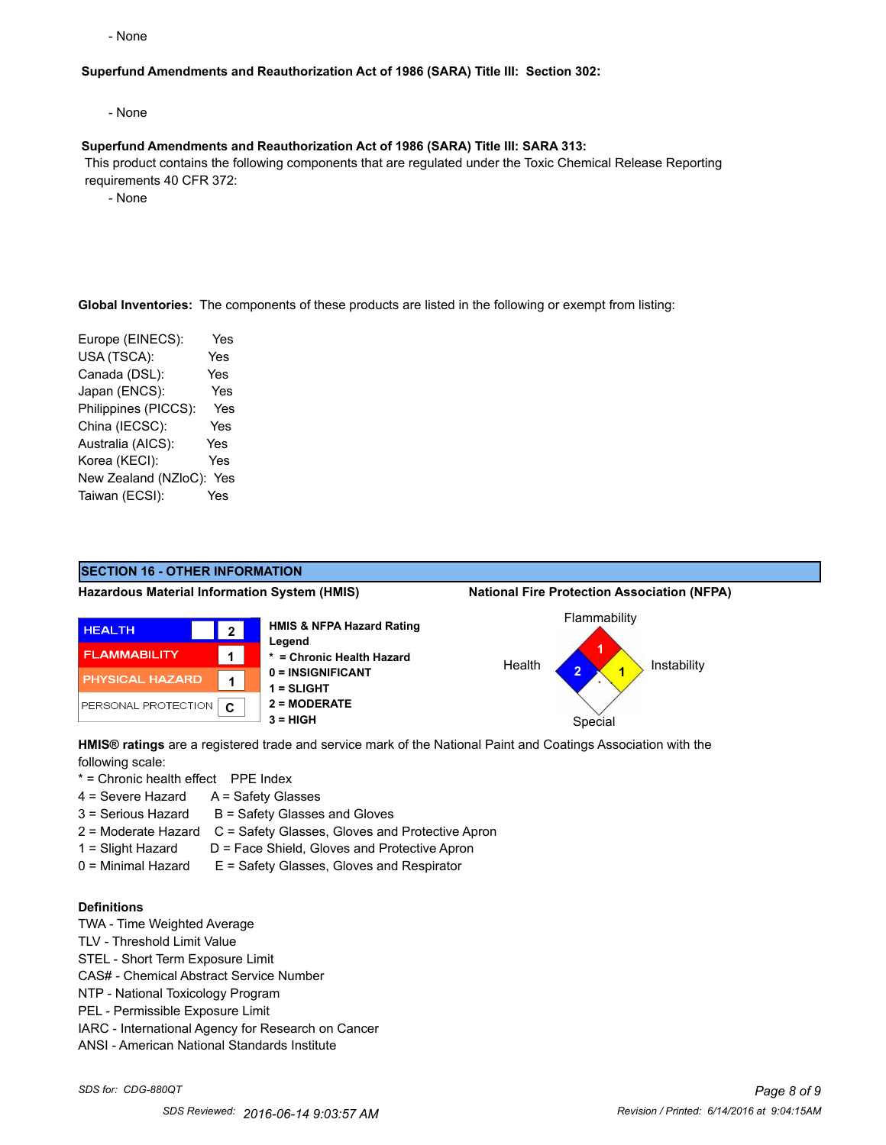- None

# **Superfund Amendments and Reauthorization Act of 1986 (SARA) Title III: Section 302:**

- None

#### **Superfund Amendments and Reauthorization Act of 1986 (SARA) Title III: SARA 313:**

 This product contains the following components that are regulated under the Toxic Chemical Release Reporting requirements 40 CFR 372:

- None

**Global Inventories:** The components of these products are listed in the following or exempt from listing:

Europe (EINECS): Yes USA (TSCA): Yes Canada (DSL): Yes Japan (ENCS): Yes Philippines (PICCS): Yes China (IECSC): Yes Australia (AICS): Yes Korea (KECI): Yes New Zealand (NZloC): Yes Taiwan (ECSI): Yes



**HMIS® ratings** are a registered trade and service mark of the National Paint and Coatings Association with the following scale:

\* = Chronic health effect PPE Index

- 4 = Severe Hazard A = Safety Glasses
- $3 =$  Serious Hazard  $B =$  Safety Glasses and Gloves
- 2 = Moderate Hazard C = Safety Glasses, Gloves and Protective Apron
- 1 = Slight Hazard D = Face Shield, Gloves and Protective Apron
- 0 = Minimal Hazard E = Safety Glasses, Gloves and Respirator

# **Definitions**

- TWA Time Weighted Average
- TLV Threshold Limit Value
- STEL Short Term Exposure Limit
- CAS# Chemical Abstract Service Number
- NTP National Toxicology Program
- PEL Permissible Exposure Limit
- IARC International Agency for Research on Cancer
- ANSI American National Standards Institute